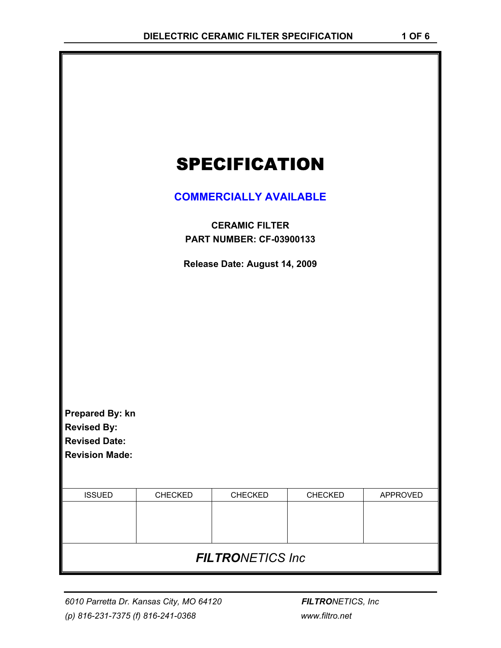|                                               | <b>SPECIFICATION</b>                                     |  |
|-----------------------------------------------|----------------------------------------------------------|--|
|                                               | <b>COMMERCIALLY AVAILABLE</b>                            |  |
|                                               | <b>CERAMIC FILTER</b><br><b>PART NUMBER: CF-03900133</b> |  |
|                                               | Release Date: August 14, 2009                            |  |
|                                               |                                                          |  |
|                                               |                                                          |  |
|                                               |                                                          |  |
|                                               |                                                          |  |
| Prepared By: kn                               |                                                          |  |
| <b>Revised By:</b>                            |                                                          |  |
| <b>Revised Date:</b><br><b>Revision Made:</b> |                                                          |  |

| <b>ISSUED</b>            | <b>CHECKED</b> | <b>CHECKED</b> | <b>CHECKED</b> | APPROVED |
|--------------------------|----------------|----------------|----------------|----------|
|                          |                |                |                |          |
|                          |                |                |                |          |
|                          |                |                |                |          |
|                          |                |                |                |          |
| <b>FILTRONETICS Inc.</b> |                |                |                |          |
|                          |                |                |                |          |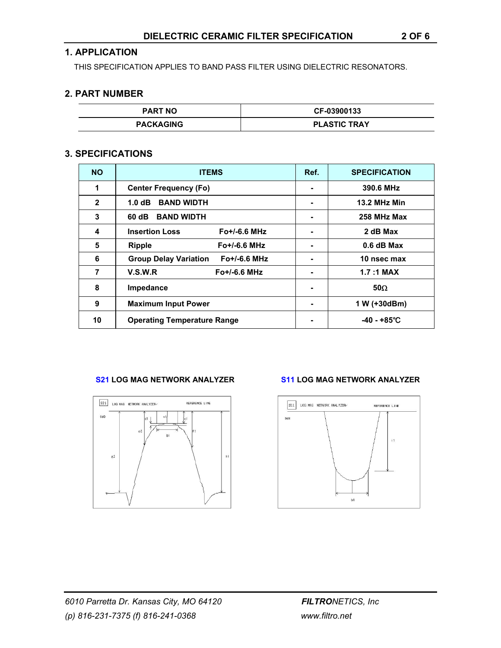## **1. APPLICATION**

THIS SPECIFICATION APPLIES TO BAND PASS FILTER USING DIELECTRIC RESONATORS.

## **2. PART NUMBER**

| <b>PART NO</b>   | CF-03900133         |
|------------------|---------------------|
| <b>PACKAGING</b> | <b>PLASTIC TRAY</b> |

## **3. SPECIFICATIONS**

| <b>NO</b>    | <b>ITEMS</b>                                   | Ref. | <b>SPECIFICATION</b> |
|--------------|------------------------------------------------|------|----------------------|
| 1            | <b>Center Frequency (Fo)</b>                   |      | 390.6 MHz            |
| $\mathbf{2}$ | <b>BAND WIDTH</b><br>1.0 dB                    | ۰    | <b>13.2 MHz Min</b>  |
| 3            | 60 dB<br><b>BAND WIDTH</b>                     |      | 258 MHz Max          |
| 4            | <b>Insertion Loss</b><br>$Fo+/-6.6 MHz$        |      | 2 dB Max             |
| 5            | $Fo+/-6.6 MHz$<br><b>Ripple</b>                |      | $0.6$ dB Max         |
| 6            | <b>Group Delay Variation</b><br>$Fo+/-6.6 MHz$ |      | 10 nsec max          |
| 7            | V.S.W.R<br>$Fo+/-6.6 MHz$                      |      | $1.7:1$ MAX          |
| 8            | Impedance                                      |      | $50\Omega$           |
| 9            | <b>Maximum Input Power</b>                     |      | 1 W (+30dBm)         |
| 10           | <b>Operating Temperature Range</b>             |      | -40 - +85°C          |

### **S21 LOG MAG NETWORK ANALYZER S11 LOG MAG NETWORK ANALYZER**



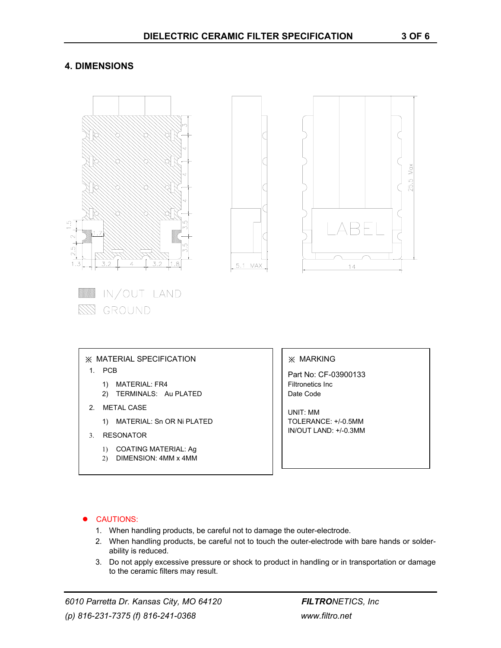# **4. DIMENSIONS**



#### **CAUTIONS:**

- 1. When handling products, be careful not to damage the outer-electrode.
- 2. When handling products, be careful not to touch the outer-electrode with bare hands or solderability is reduced.
- 3. Do not apply excessive pressure or shock to product in handling or in transportation or damage to the ceramic filters may result.

*6010 Parretta Dr. Kansas City, MO 64120 FILTRONETICS, Inc (p) 816-231-7375 (f) 816-241-0368 www.filtro.net*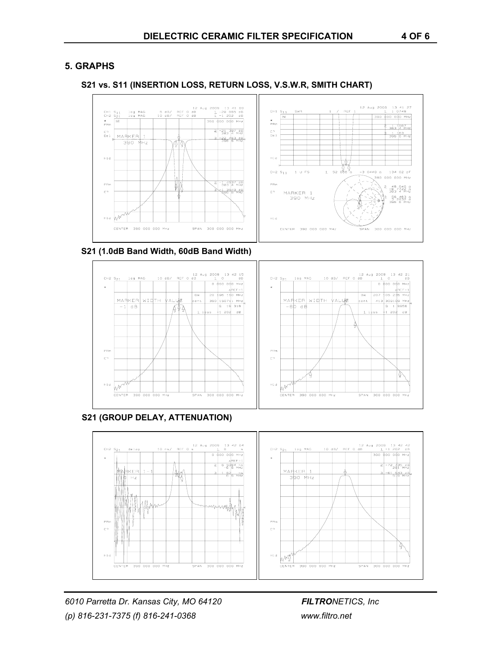# **5. GRAPHS**





**S21 (1.0dB Band Width, 60dB Band Width)** 



**S21 (GROUP DELAY, ATTENUATION)** 

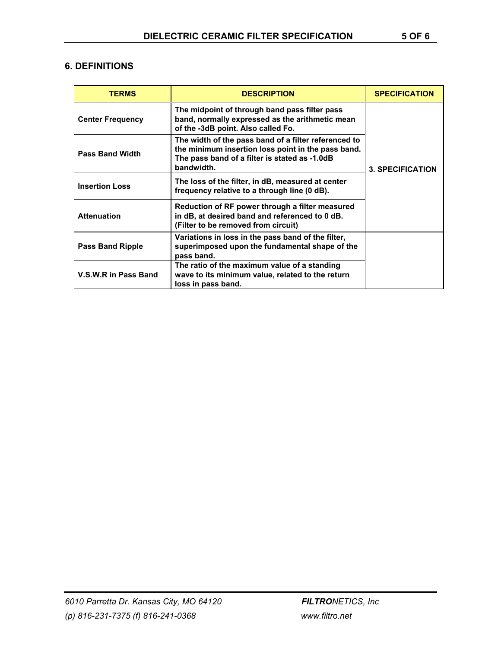# **6. DEFINITIONS**

| <b>TERMS</b>            | <b>DESCRIPTION</b>                                                                                                                                                        | <b>SPECIFICATION</b>    |
|-------------------------|---------------------------------------------------------------------------------------------------------------------------------------------------------------------------|-------------------------|
| <b>Center Frequency</b> | The midpoint of through band pass filter pass<br>band, normally expressed as the arithmetic mean<br>of the -3dB point. Also called Fo.                                    |                         |
| <b>Pass Band Width</b>  | The width of the pass band of a filter referenced to<br>the minimum insertion loss point in the pass band.<br>The pass band of a filter is stated as -1.0dB<br>bandwidth. | <b>3. SPECIFICATION</b> |
| <b>Insertion Loss</b>   | The loss of the filter, in dB, measured at center<br>frequency relative to a through line (0 dB).                                                                         |                         |
| <b>Attenuation</b>      | Reduction of RF power through a filter measured<br>in dB, at desired band and referenced to 0 dB.<br>(Filter to be removed from circuit)                                  |                         |
| <b>Pass Band Ripple</b> | Variations in loss in the pass band of the filter,<br>superimposed upon the fundamental shape of the<br>pass band.                                                        |                         |
| V.S.W.R in Pass Band    | The ratio of the maximum value of a standing<br>wave to its minimum value, related to the return<br>loss in pass band.                                                    |                         |